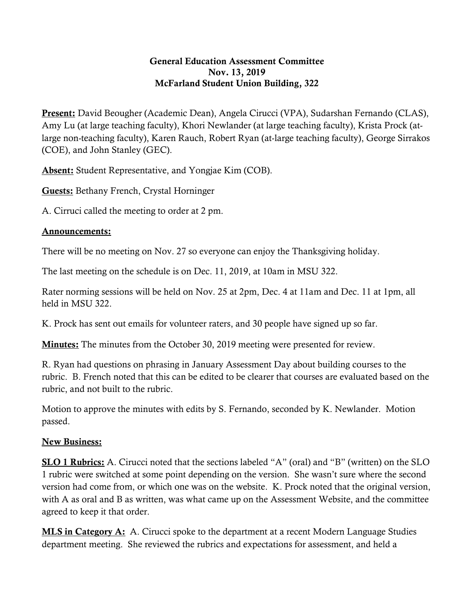## General Education Assessment Committee Nov. 13, 2019 McFarland Student Union Building, 322

Present: David Beougher (Academic Dean), Angela Cirucci (VPA), Sudarshan Fernando (CLAS), Amy Lu (at large teaching faculty), Khori Newlander (at large teaching faculty), Krista Prock (atlarge non-teaching faculty), Karen Rauch, Robert Ryan (at-large teaching faculty), George Sirrakos (COE), and John Stanley (GEC).

Absent: Student Representative, and Yongjae Kim (COB).

Guests: Bethany French, Crystal Horninger

A. Cirruci called the meeting to order at 2 pm.

## Announcements:

There will be no meeting on Nov. 27 so everyone can enjoy the Thanksgiving holiday.

The last meeting on the schedule is on Dec. 11, 2019, at 10am in MSU 322.

Rater norming sessions will be held on Nov. 25 at 2pm, Dec. 4 at 11am and Dec. 11 at 1pm, all held in MSU 322.

K. Prock has sent out emails for volunteer raters, and 30 people have signed up so far.

**Minutes:** The minutes from the October 30, 2019 meeting were presented for review.

R. Ryan had questions on phrasing in January Assessment Day about building courses to the rubric. B. French noted that this can be edited to be clearer that courses are evaluated based on the rubric, and not built to the rubric.

Motion to approve the minutes with edits by S. Fernando, seconded by K. Newlander. Motion passed.

## New Business:

SLO 1 Rubrics: A. Cirucci noted that the sections labeled "A" (oral) and "B" (written) on the SLO 1 rubric were switched at some point depending on the version. She wasn't sure where the second version had come from, or which one was on the website. K. Prock noted that the original version, with A as oral and B as written, was what came up on the Assessment Website, and the committee agreed to keep it that order.

MLS in Category A: A. Cirucci spoke to the department at a recent Modern Language Studies department meeting. She reviewed the rubrics and expectations for assessment, and held a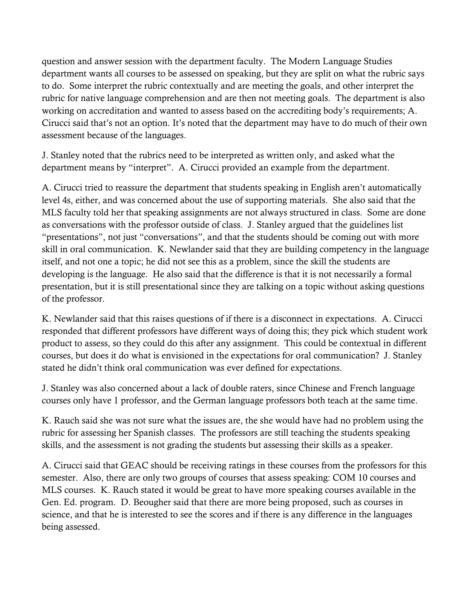question and answer session with the department faculty. The Modern Language Studies department wants all courses to be assessed on speaking, but they are split on what the rubric says to do. Some interpret the rubric contextually and are meeting the goals, and other interpret the rubric for native language comprehension and are then not meeting goals. The department is also working on accreditation and wanted to assess based on the accrediting body's requirements; A. Cirucci said that's not an option. It's noted that the department may have to do much of their own assessment because of the languages.

J. Stanley noted that the rubrics need to be interpreted as written only, and asked what the department means by "interpret". A. Cirucci provided an example from the department.

A. Cirucci tried to reassure the department that students speaking in English aren't automatically level 4s, either, and was concerned about the use of supporting materials. She also said that the MLS faculty told her that speaking assignments are not always structured in class. Some are done as conversations with the professor outside of class. J. Stanley argued that the guidelines list "presentations", not just "conversations", and that the students should be coming out with more skill in oral communication. K. Newlander said that they are building competency in the language itself, and not one a topic; he did not see this as a problem, since the skill the students are developing is the language. He also said that the difference is that it is not necessarily a formal presentation, but it is still presentational since they are talking on a topic without asking questions of the professor.

K. Newlander said that this raises questions of if there is a disconnect in expectations. A. Cirucci responded that different professors have different ways of doing this; they pick which student work product to assess, so they could do this after any assignment. This could be contextual in different courses, but does it do what is envisioned in the expectations for oral communication? J. Stanley stated he didn't think oral communication was ever defined for expectations.

J. Stanley was also concerned about a lack of double raters, since Chinese and French language courses only have 1 professor, and the German language professors both teach at the same time.

K. Rauch said she was not sure what the issues are, the she would have had no problem using the rubric for assessing her Spanish classes. The professors are still teaching the students speaking skills, and the assessment is not grading the students but assessing their skills as a speaker.

A. Cirucci said that GEAC should be receiving ratings in these courses from the professors for this semester. Also, there are only two groups of courses that assess speaking: COM 10 courses and MLS courses. K. Rauch stated it would be great to have more speaking courses available in the Gen. Ed. program. D. Beougher said that there are more being proposed, such as courses in science, and that he is interested to see the scores and if there is any difference in the languages being assessed.